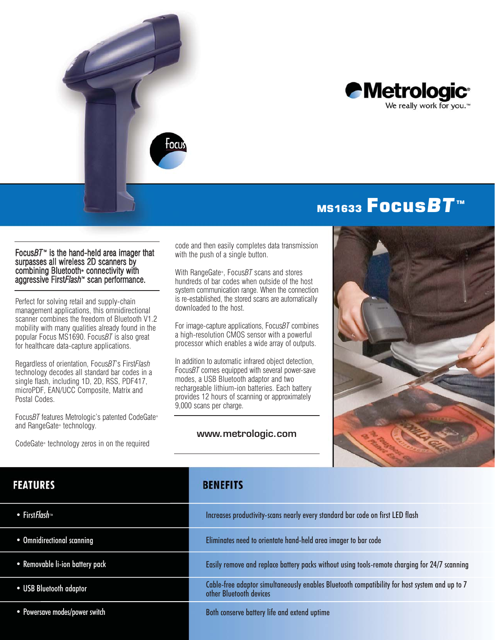



# MS1633 Focus**BT**<sup>™</sup>

#### Focus*BT*<sup>™</sup> is the hand-held area imager that surpasses all wireless 2D scanners by combining Bluetooth• connectivity with aggressive First*Flash*™ scan performance.

Perfect for solving retail and supply-chain management applications, this omnidirectional scanner combines the freedom of Bluetooth V1.2 mobility with many qualities already found in the popular Focus MS1690. Focus*BT* is also great for healthcare data-capture applications.

Regardless of orientation, Focus*BT*'s First*Flash* technology decodes all standard bar codes in a single flash, including 1D, 2D, RSS, PDF417, microPDF, EAN/UCC Composite, Matrix and Postal Codes.

Focus*BT* features Metrologic's patented CodeGate® and RangeGate® technology.

CodeGate® technology zeros in on the required

code and then easily completes data transmission with the push of a single button.

With RangeGate®, Focus*BT* scans and stores hundreds of bar codes when outside of the host system communication range. When the connection is re-established, the stored scans are automatically downloaded to the host.

For image-capture applications, Focus*BT* combines a high-resolution CMOS sensor with a powerful processor which enables a wide array of outputs.

In addition to automatic infrared object detection, Focus*BT* comes equipped with several power-save modes, a USB Bluetooth adaptor and two rechargeable lithium-ion batteries. Each battery provides 12 hours of scanning or approximately 9,000 scans per charge.

#### www.metrologic.com



### **FEATURES**

- First Flash
- Omnidirectional scanning
- Removable li-ion battery pack
- USB Bluetooth adaptor
- Powersave modes/power switch

### **BENEFITS**

| Increases productivity-scans nearly every standard bar code on first LED flash                                           |
|--------------------------------------------------------------------------------------------------------------------------|
| Eliminates need to orientate hand-held area imager to bar code                                                           |
| Easily remove and replace battery packs without using tools-remote charging for 24/7 scanning                            |
| Cable-free adaptor simultaneously enables Bluetooth compatibility for host system and up to 7<br>other Bluetooth devices |
| Both conserve battery life and extend uptime                                                                             |